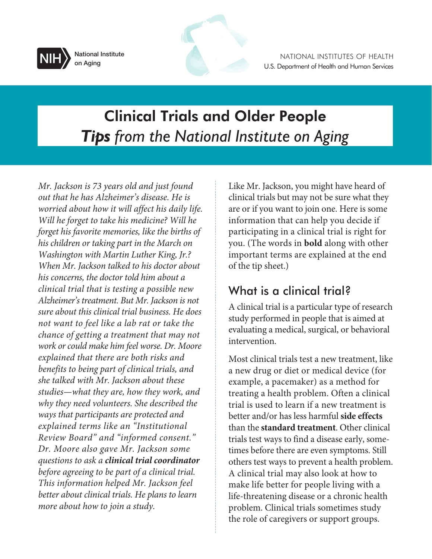

National Institute on Aging



# Clinical Trials and Older People *Tips from the National Institute on Aging*

*Mr. Jackson is 73 years old and just found out that he has Alzheimer's disease. He is worried about how it will affect his daily life. Will he forget to take his medicine? Will he forget his favorite memories, like the births of his children or taking part in the March on Washington with Martin Luther King, Jr.? When Mr. Jackson talked to his doctor about his concerns, the doctor told him about a clinical trial that is testing a possible new Alzheimer's treatment. But Mr. Jackson is not sure about this clinical trial business. He does not want to feel like a lab rat or take the chance of getting a treatment that may not work or could make him feel worse. Dr. Moore explained that there are both risks and benefits to being part of clinical trials, and she talked with Mr. Jackson about these studies—what they are, how they work, and why they need volunteers. She described the ways that participants are protected and explained terms like an "Institutional Review Board" and "informed consent." Dr. Moore also gave Mr. Jackson some questions to ask a clinical trial coordinator before agreeing to be part of a clinical trial. This information helped Mr. Jackson feel better about clinical trials. He plans to learn more about how to join a study.* 

Like Mr. Jackson, you might have heard of clinical trials but may not be sure what they are or if you want to join one. Here is some information that can help you decide if participating in a clinical trial is right for you. (The words in **bold** along with other important terms are explained at the end of the tip sheet.)

# What is a clinical trial?

A clinical trial is a particular type of research study performed in people that is aimed at evaluating a medical, surgical, or behavioral intervention.

Most clinical trials test a new treatment, like a new drug or diet or medical device (for example, a pacemaker) as a method for treating a health problem. Often a clinical trial is used to learn if a new treatment is better and/or has less harmful **side effects**  than the **standard treatment**. Other clinical trials test ways to find a disease early, sometimes before there are even symptoms. Still others test ways to prevent a health problem. A clinical trial may also look at how to make life better for people living with a life-threatening disease or a chronic health problem. Clinical trials sometimes study the role of caregivers or support groups.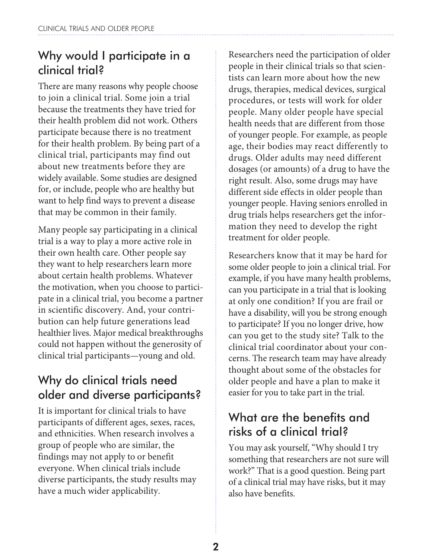### Why would I participate in a clinical trial?

There are many reasons why people choose to join a clinical trial. Some join a trial because the treatments they have tried for their health problem did not work. Others participate because there is no treatment for their health problem. By being part of a clinical trial, participants may find out about new treatments before they are widely available. Some studies are designed for, or include, people who are healthy but want to help find ways to prevent a disease that may be common in their family.

Many people say participating in a clinical trial is a way to play a more active role in their own health care. Other people say they want to help researchers learn more about certain health problems. Whatever the motivation, when you choose to participate in a clinical trial, you become a partner in scientific discovery. And, your contribution can help future generations lead healthier lives. Major medical breakthroughs could not happen without the generosity of clinical trial participants—young and old.

# Why do clinical trials need older and diverse participants?

It is important for clinical trials to have participants of different ages, sexes, races, and ethnicities. When research involves a group of people who are similar, the findings may not apply to or benefit everyone. When clinical trials include diverse participants, the study results may have a much wider applicability.

Researchers need the participation of older people in their clinical trials so that scientists can learn more about how the new drugs, therapies, medical devices, surgical procedures, or tests will work for older people. Many older people have special health needs that are different from those of younger people. For example, as people age, their bodies may react differently to drugs. Older adults may need different dosages (or amounts) of a drug to have the right result. Also, some drugs may have different side effects in older people than younger people. Having seniors enrolled in drug trials helps researchers get the information they need to develop the right treatment for older people.

Researchers know that it may be hard for some older people to join a clinical trial. For example, if you have many health problems, can you participate in a trial that is looking at only one condition? If you are frail or have a disability, will you be strong enough to participate? If you no longer drive, how can you get to the study site? Talk to the clinical trial coordinator about your concerns. The research team may have already thought about some of the obstacles for older people and have a plan to make it easier for you to take part in the trial.

#### What are the benefits and risks of a clinical trial?

You may ask yourself, "Why should I try something that researchers are not sure will work?" That is a good question. Being part of a clinical trial may have risks, but it may also have benefits.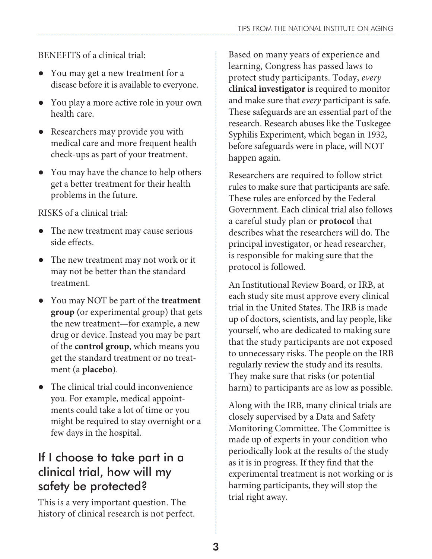BENEFITS of a clinical trial:

- You may get a new treatment for a disease before it is available to everyone.
- You play a more active role in your own health care.
- Researchers may provide you with medical care and more frequent health check-ups as part of your treatment.
- You may have the chance to help others get a better treatment for their health problems in the future.

RISKS of a clinical trial:

- The new treatment may cause serious side effects.
- The new treatment may not work or it may not be better than the standard treatment.
- ● You may NOT be part of the **treatment group (**or experimental group) that gets the new treatment—for example, a new drug or device. Instead you may be part of the **control group**, which means you get the standard treatment or no treatment (a **placebo**).
- The clinical trial could inconvenience you. For example, medical appointments could take a lot of time or you might be required to stay overnight or a few days in the hospital.

### If I choose to take part in a clinical trial, how will my safety be protected?

This is a very important question. The history of clinical research is not perfect.

Based on many years of experience and learning, Congress has passed laws to protect study participants. Today, *every*  **clinical investigator** is required to monitor and make sure that *every* participant is safe. These safeguards are an essential part of the research. Research abuses like the Tuskegee Syphilis Experiment, which began in 1932, before safeguards were in place, will NOT happen again.

Researchers are required to follow strict rules to make sure that participants are safe. These rules are enforced by the Federal Government. Each clinical trial also follows a careful study plan or **protocol** that describes what the researchers will do. The principal investigator, or head researcher, is responsible for making sure that the protocol is followed.

An Institutional Review Board, or IRB, at each study site must approve every clinical trial in the United States. The IRB is made up of doctors, scientists, and lay people, like yourself, who are dedicated to making sure that the study participants are not exposed to unnecessary risks. The people on the IRB regularly review the study and its results. They make sure that risks (or potential harm) to participants are as low as possible.

Along with the IRB, many clinical trials are closely supervised by a Data and Safety Monitoring Committee. The Committee is made up of experts in your condition who periodically look at the results of the study as it is in progress. If they find that the experimental treatment is not working or is harming participants, they will stop the trial right away.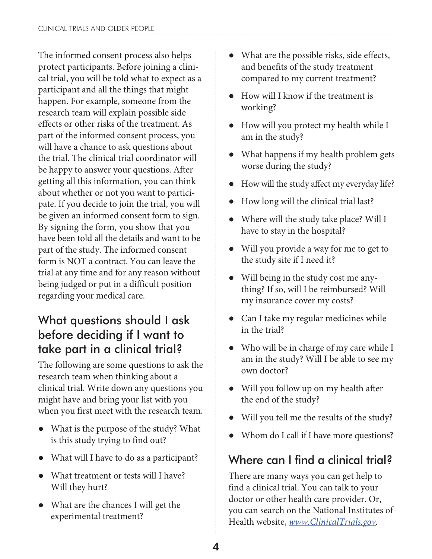be given an informed consent form to sign. The informed consent process also helps protect participants. Before joining a clinical trial, you will be told what to expect as a participant and all the things that might happen. For example, someone from the research team will explain possible side effects or other risks of the treatment. As part of the informed consent process, you will have a chance to ask questions about the trial. The clinical trial coordinator will be happy to answer your questions. After getting all this information, you can think about whether or not you want to participate. If you decide to join the trial, you will By signing the form, you show that you have been told all the details and want to be part of the study. The informed consent form is NOT a contract. You can leave the trial at any time and for any reason without being judged or put in a difficult position regarding your medical care.

#### What questions should I ask before deciding if I want to take part in a clinical trial?

The following are some questions to ask the research team when thinking about a clinical trial. Write down any questions you might have and bring your list with you when you first meet with the research team.

- ● What is the purpose of the study? What is this study trying to find out?
- What will I have to do as a participant?
- What treatment or tests will I have? Will they hurt?
- What are the chances I will get the experimental treatment?
- What are the possible risks, side effects, and benefits of the study treatment compared to my current treatment?
- How will I know if the treatment is working?
- How will you protect my health while I am in the study?
- What happens if my health problem gets worse during the study?
- How will the study affect my everyday life?
- How long will the clinical trial last?
- Where will the study take place? Will I have to stay in the hospital?
- Will you provide a way for me to get to the study site if I need it?
- Will being in the study cost me anything? If so, will I be reimbursed? Will my insurance cover my costs?
- Can I take my regular medicines while in the trial?
- Who will be in charge of my care while I am in the study? Will I be able to see my own doctor?
- Will you follow up on my health after the end of the study?
- Will you tell me the results of the study?
- Whom do I call if I have more questions?

# Where can I find a clinical trial?

There are many ways you can get help to find a clinical trial. You can talk to your doctor or other health care provider. Or, you can search on the National Institutes of Health website, *[www.ClinicalTrials.gov.](http://www.ClinicalTrials.gov)*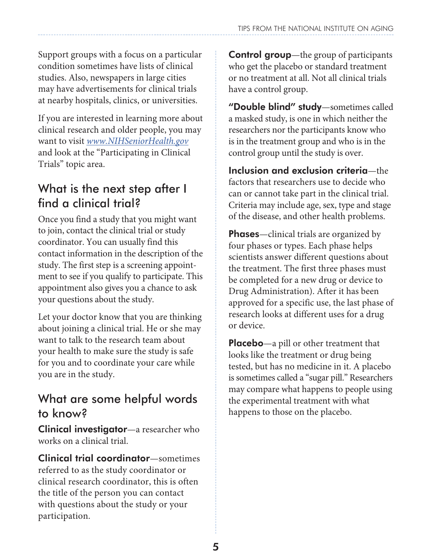Support groups with a focus on a particular condition sometimes have lists of clinical studies. Also, newspapers in large cities may have advertisements for clinical trials at nearby hospitals, clinics, or universities.

If you are interested in learning more about clinical research and older people, you may want to visit *[www.NIHSeniorHealth.gov](http://www.NIHSeniorHealth.gov)*  and look at the "Participating in Clinical Trials" topic area.

#### What is the next step after I find a clinical trial?

Once you find a study that you might want to join, contact the clinical trial or study coordinator. You can usually find this contact information in the description of the study. The first step is a screening appointment to see if you qualify to participate. This appointment also gives you a chance to ask your questions about the study.

Let your doctor know that you are thinking about joining a clinical trial. He or she may want to talk to the research team about your health to make sure the study is safe for you and to coordinate your care while you are in the study.

#### What are some helpful words to know?

Clinical investigator—a researcher who works on a clinical trial.

Clinical trial coordinator—sometimes referred to as the study coordinator or clinical research coordinator, this is often the title of the person you can contact with questions about the study or your participation.

**Control group**—the group of participants who get the placebo or standard treatment or no treatment at all. Not all clinical trials have a control group.

"Double blind" study—sometimes called a masked study, is one in which neither the researchers nor the participants know who is in the treatment group and who is in the control group until the study is over.

Inclusion and exclusion criteria—the factors that researchers use to decide who can or cannot take part in the clinical trial. Criteria may include age, sex, type and stage of the disease, and other health problems.

**Phases**—clinical trials are organized by four phases or types. Each phase helps scientists answer different questions about the treatment. The first three phases must be completed for a new drug or device to Drug Administration). After it has been approved for a specific use, the last phase of research looks at different uses for a drug or device.

**Placebo**—a pill or other treatment that looks like the treatment or drug being tested, but has no medicine in it. A placebo is sometimes called a "sugar pill." Researchers may compare what happens to people using the experimental treatment with what happens to those on the placebo.